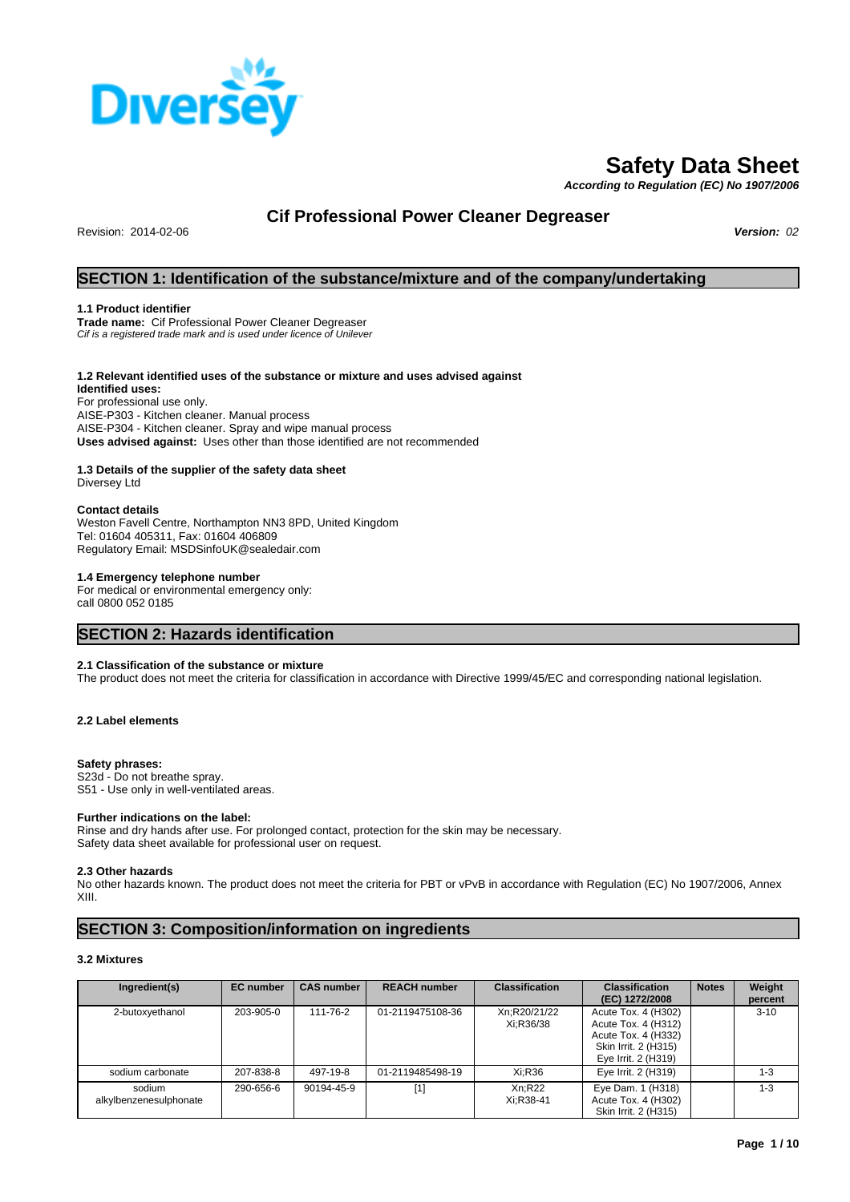

# **Safety Data Sheet**

*According to Regulation (EC) No 1907/2006*

# **Cif Professional Power Cleaner Degreaser**

Revision: 2014-02-06 *Version: 02*

## **SECTION 1: Identification of the substance/mixture and of the company/undertaking**

### **1.1 Product identifier**

**Trade name:** Cif Professional Power Cleaner Degreaser *Cif is a registered trade mark and is used under licence of Unilever*

#### **1.2 Relevant identified uses of the substance or mixture and uses advised against Identified uses:**

For professional use only. AISE-P303 - Kitchen cleaner. Manual process AISE-P304 - Kitchen cleaner. Spray and wipe manual process **Uses advised against:** Uses other than those identified are not recommended

### **1.3 Details of the supplier of the safety data sheet**

Diversey Ltd

### **Contact details**

Weston Favell Centre, Northampton NN3 8PD, United Kingdom Tel: 01604 405311, Fax: 01604 406809 Regulatory Email: MSDSinfoUK@sealedair.com

### **1.4 Emergency telephone number**

For medical or environmental emergency only: call 0800 052 0185

### **SECTION 2: Hazards identification**

### **2.1 Classification of the substance or mixture**

The product does not meet the criteria for classification in accordance with Directive 1999/45/EC and corresponding national legislation.

### **2.2 Label elements**

### **Safety phrases:**

S23d - Do not breathe spray. S51 - Use only in well-ventilated areas.

#### **Further indications on the label:**

Rinse and dry hands after use. For prolonged contact, protection for the skin may be necessary. Safety data sheet available for professional user on request.

#### **2.3 Other hazards**

No other hazards known. The product does not meet the criteria for PBT or vPvB in accordance with Regulation (EC) No 1907/2006, Annex XIII.

### **SECTION 3: Composition/information on ingredients**

#### **3.2 Mixtures**

| Ingredient(s)                    | <b>EC</b> number | <b>CAS number</b> | <b>REACH number</b> | <b>Classification</b>     | <b>Classification</b><br>(EC) 1272/2008                                                                          | <b>Notes</b> | Weight<br>percent |
|----------------------------------|------------------|-------------------|---------------------|---------------------------|------------------------------------------------------------------------------------------------------------------|--------------|-------------------|
| 2-butoxyethanol                  | 203-905-0        | 111-76-2          | 01-2119475108-36    | Xn:R20/21/22<br>Xi:R36/38 | Acute Tox. 4 (H302)<br>Acute Tox. 4 (H312)<br>Acute Tox. 4 (H332)<br>Skin Irrit. 2 (H315)<br>Eye Irrit. 2 (H319) |              | $3 - 10$          |
| sodium carbonate                 | 207-838-8        | 497-19-8          | 01-2119485498-19    | Xi:R36                    | Eye Irrit. 2 (H319)                                                                                              |              | $1 - 3$           |
| sodium<br>alkylbenzenesulphonate | 290-656-6        | 90194-45-9        | $[1]$               | Xn:R22<br>Xi:R38-41       | Eye Dam. 1 (H318)<br>Acute Tox. 4 (H302)<br>Skin Irrit. 2 (H315)                                                 |              | $1 - 3$           |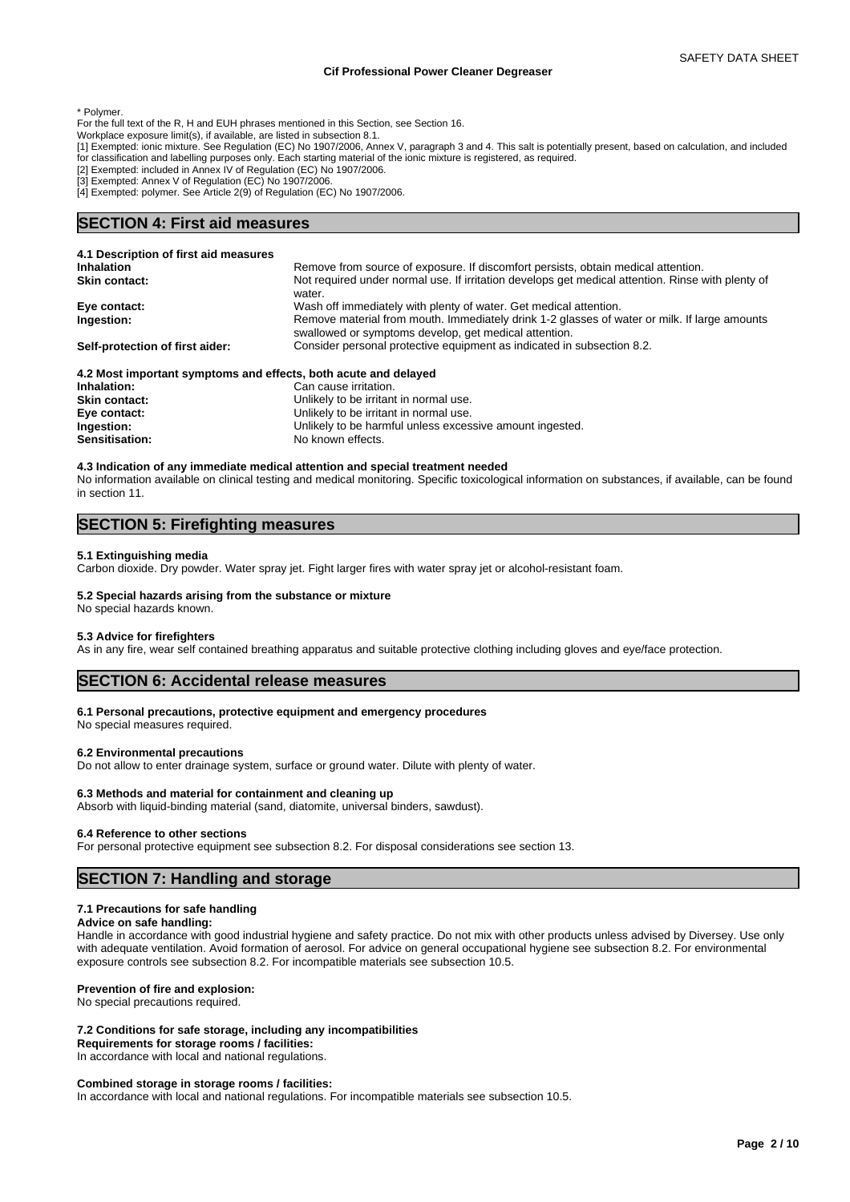\* Polymer.

- For the full text of the R, H and EUH phrases mentioned in this Section, see Section 16.
- Workplace exposure limit(s), if available, are listed in subsection 8.1.
- [1] Exempted: ionic mixture. See Regulation (EC) No 1907/2006, Annex V, paragraph 3 and 4. This salt is potentially present, based on calculation, and included for classification and labelling purposes only. Each starting material of the ionic mixture is registered, as required.
- [2] Exempted: included in Annex IV of Regulation (EC) No 1907/2006.
- [3] Exempted: Annex V of Regulation (EC) No 1907/2006.
- [4] Exempted: polymer. See Article 2(9) of Regulation (EC) No 1907/2006.

### **SECTION 4: First aid measures**

| 4.1 Description of first aid measures                           |                                                                                                                                                       |
|-----------------------------------------------------------------|-------------------------------------------------------------------------------------------------------------------------------------------------------|
| <b>Inhalation</b>                                               | Remove from source of exposure. If discomfort persists, obtain medical attention.                                                                     |
| <b>Skin contact:</b>                                            | Not required under normal use. If irritation develops get medical attention. Rinse with plenty of<br>water.                                           |
| Eye contact:                                                    | Wash off immediately with plenty of water. Get medical attention.                                                                                     |
| Ingestion:                                                      | Remove material from mouth. Immediately drink 1-2 glasses of water or milk. If large amounts<br>swallowed or symptoms develop, get medical attention. |
| Self-protection of first aider:                                 | Consider personal protective equipment as indicated in subsection 8.2.                                                                                |
| 4.2 Most important symptoms and effects, both acute and delayed |                                                                                                                                                       |
| Inhalation:                                                     | Can cause irritation.                                                                                                                                 |
| <b>Skin contact:</b>                                            | Unlikely to be irritant in normal use.                                                                                                                |
| Eye contact:                                                    | Unlikely to be irritant in normal use.                                                                                                                |
| Ingestion:                                                      | Unlikely to be harmful unless excessive amount ingested.                                                                                              |

**4.3 Indication of any immediate medical attention and special treatment needed** No information available on clinical testing and medical monitoring. Specific toxicological information on substances, if available, can be found in section 11.

### **SECTION 5: Firefighting measures**

#### **5.1 Extinguishing media**

Carbon dioxide. Dry powder. Water spray jet. Fight larger fires with water spray jet or alcohol-resistant foam.

#### **5.2 Special hazards arising from the substance or mixture**

Sensitisation: No known effects.

No special hazards known.

#### **5.3 Advice for firefighters**

As in any fire, wear self contained breathing apparatus and suitable protective clothing including gloves and eye/face protection.

### **SECTION 6: Accidental release measures**

#### **6.1 Personal precautions, protective equipment and emergency procedures**

No special measures required.

#### **6.2 Environmental precautions**

Do not allow to enter drainage system, surface or ground water. Dilute with plenty of water.

#### **6.3 Methods and material for containment and cleaning up**

Absorb with liquid-binding material (sand, diatomite, universal binders, sawdust).

#### **6.4 Reference to other sections**

For personal protective equipment see subsection 8.2. For disposal considerations see section 13.

### **SECTION 7: Handling and storage**

#### **7.1 Precautions for safe handling**

#### **Advice on safe handling:**

Handle in accordance with good industrial hygiene and safety practice. Do not mix with other products unless advised by Diversey. Use only with adequate ventilation. Avoid formation of aerosol. For advice on general occupational hygiene see subsection 8.2. For environmental exposure controls see subsection 8.2. For incompatible materials see subsection 10.5.

#### **Prevention of fire and explosion:**

No special precautions required.

#### **7.2 Conditions for safe storage, including any incompatibilities**

**Requirements for storage rooms / facilities:**

In accordance with local and national regulations.

#### **Combined storage in storage rooms / facilities:**

In accordance with local and national regulations. For incompatible materials see subsection 10.5.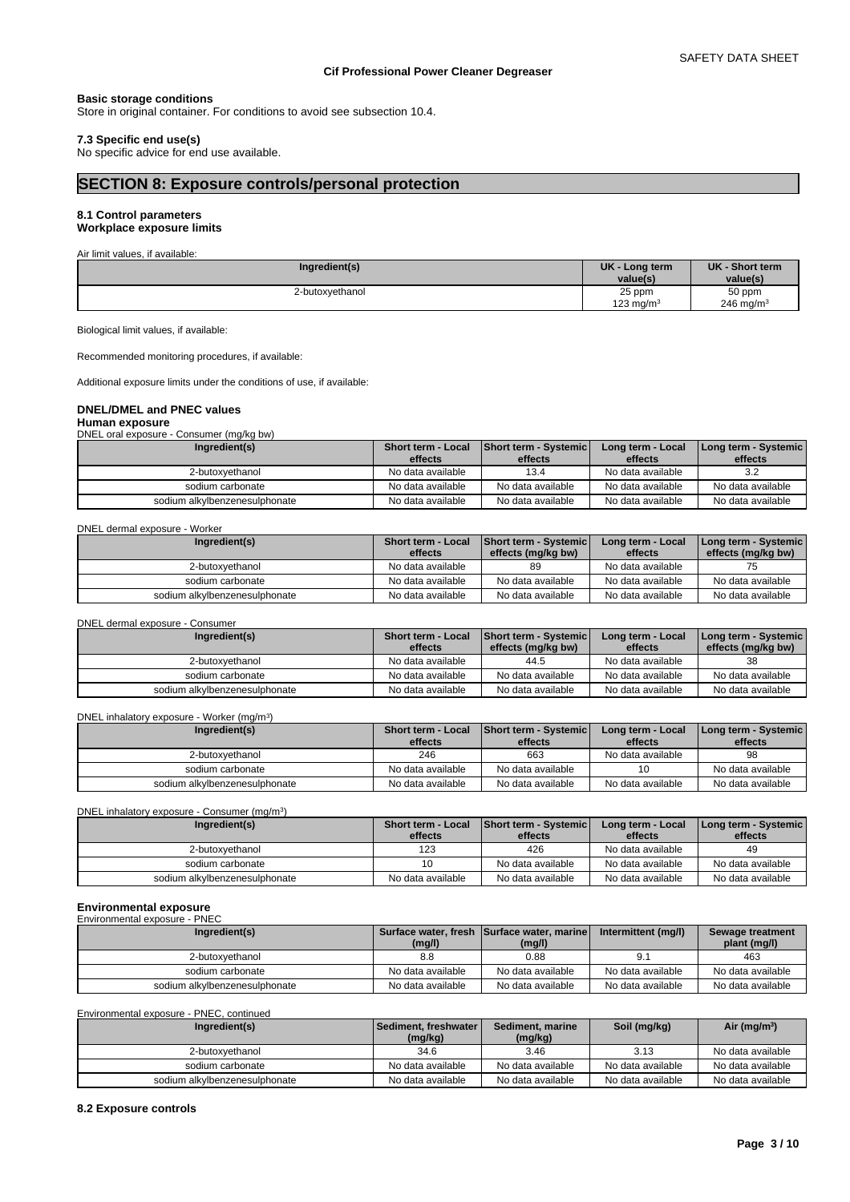#### **Basic storage conditions**

Store in original container. For conditions to avoid see subsection 10.4.

#### **7.3 Specific end use(s)**

No specific advice for end use available.

## **SECTION 8: Exposure controls/personal protection**

#### **8.1 Control parameters Workplace exposure limits**

Air limit values, if available:

| Ingredient(s)   | <b>UK</b><br>- Long term | UK - Short term |
|-----------------|--------------------------|-----------------|
|                 | value(s)                 | value(s)        |
| 2-butoxyethanol | 25 ppm                   | 50 ppm          |
|                 | 123 mg/m $3$             | 246 mg/m $3$    |

Biological limit values, if available:

Recommended monitoring procedures, if available:

Additional exposure limits under the conditions of use, if available:

### **DNEL/DMEL and PNEC values**

**Human exposure**

DNEL oral exposure - Consumer (mg/kg bw)

| Ingredient(s)                 | <b>Short term - Local</b><br>effects | Short term - Systemic<br>effects | Long term - Local<br>effects | Long term - Systemic  <br>effects |
|-------------------------------|--------------------------------------|----------------------------------|------------------------------|-----------------------------------|
| 2-butoxvethanol               | No data available                    | 13.4                             | No data available            | 3.2                               |
| sodium carbonate              | No data available                    | No data available                | No data available            | No data available                 |
| sodium alkvlbenzenesulphonate | No data available                    | No data available                | No data available            | No data available                 |

#### DNEL dermal exposure - Worker

| Ingredient(s)                 | <b>Short term - Local</b><br>effects | <b>Short term - Systemic</b><br>effects (mg/kg bw) | Long term - Local<br>effects | <b>I Long term - Systemic</b><br>effects (mg/kg bw) |
|-------------------------------|--------------------------------------|----------------------------------------------------|------------------------------|-----------------------------------------------------|
| 2-butoxvethanol               | No data available                    | 89                                                 | No data available            |                                                     |
| sodium carbonate              | No data available                    | No data available                                  | No data available            | No data available                                   |
| sodium alkylbenzenesulphonate | No data available                    | No data available                                  | No data available            | No data available                                   |

DNEL dermal exposure - Consumer

| Ingredient(s)                 | <b>Short term - Local</b> | <b>Short term - Systemic</b> | Long term - Local | I Long term - Systemic |
|-------------------------------|---------------------------|------------------------------|-------------------|------------------------|
|                               | effects                   | effects (mg/kg bw)           | effects           | effects (mg/kg bw)     |
| 2-butoxvethanol               | No data available         | 44.5                         | No data available |                        |
| sodium carbonate              | No data available         | No data available            | No data available | No data available      |
| sodium alkylbenzenesulphonate | No data available         | No data available            | No data available | No data available      |

#### DNEL inhalatory exposure - Worker (mg/m<sup>3</sup>) ) and  $\overline{\phantom{a}}$

| Ingredient(s)                 | <b>Short term - Local</b> | Short term - Systemic | Long term - Local | [Long term - Systemic] |
|-------------------------------|---------------------------|-----------------------|-------------------|------------------------|
|                               | effects                   | effects               | effects           | effects                |
| 2-butoxvethanol               | 246                       | 663                   | No data available | 98                     |
| sodium carbonate              | No data available         | No data available     |                   | No data available      |
| sodium alkvlbenzenesulphonate | No data available         | No data available     | No data available | No data available      |

DNEL inhalatory exposure - Consumer (mg/m<sup>3</sup>)

| Ingredient(s)                 | <b>Short term - Local</b> | Short term - Systemic | Long term - Local | l Lona term - Svstemic l |
|-------------------------------|---------------------------|-----------------------|-------------------|--------------------------|
|                               | effects                   | effects               | effects           | effects                  |
| 2-butoxyethanol               | 123                       | 426                   | No data available | 49                       |
| sodium carbonate              |                           | No data available     | No data available | No data available        |
| sodium alkylbenzenesulphonate | No data available         | No data available     | No data available | No data available        |

) and  $\overline{\phantom{a}}$ 

| <b>Environmental exposure</b> |                   |                                            |                     |                   |
|-------------------------------|-------------------|--------------------------------------------|---------------------|-------------------|
| Environmental exposure - PNEC |                   |                                            |                     |                   |
| Ingredient(s)                 |                   | Surface water, fresh Surface water, marine | Intermittent (mg/l) | Sewage treatment  |
|                               | (mg/l)            | (mg/l)                                     |                     | plant (mg/l)      |
| 2-butoxvethanol               | 8.8               | 0.88                                       |                     | 463               |
| sodium carbonate              | No data available | No data available                          | No data available   | No data available |
| sodium alkylbenzenesulphonate | No data available | No data available                          | No data available   | No data available |

Environmental exposure - PNEC, continued

| Ingredient(s)                 | Sediment, freshwater<br>(mg/kg) | Sediment, marine<br>(mg/kg) | Soil (mg/kg)      | Air ( $mg/m3$ )   |
|-------------------------------|---------------------------------|-----------------------------|-------------------|-------------------|
| 2-butoxyethanol               | 34.6                            | 3.46                        | 3.13              | No data available |
| sodium carbonate              | No data available               | No data available           | No data available | No data available |
| sodium alkylbenzenesulphonate | No data available               | No data available           | No data available | No data available |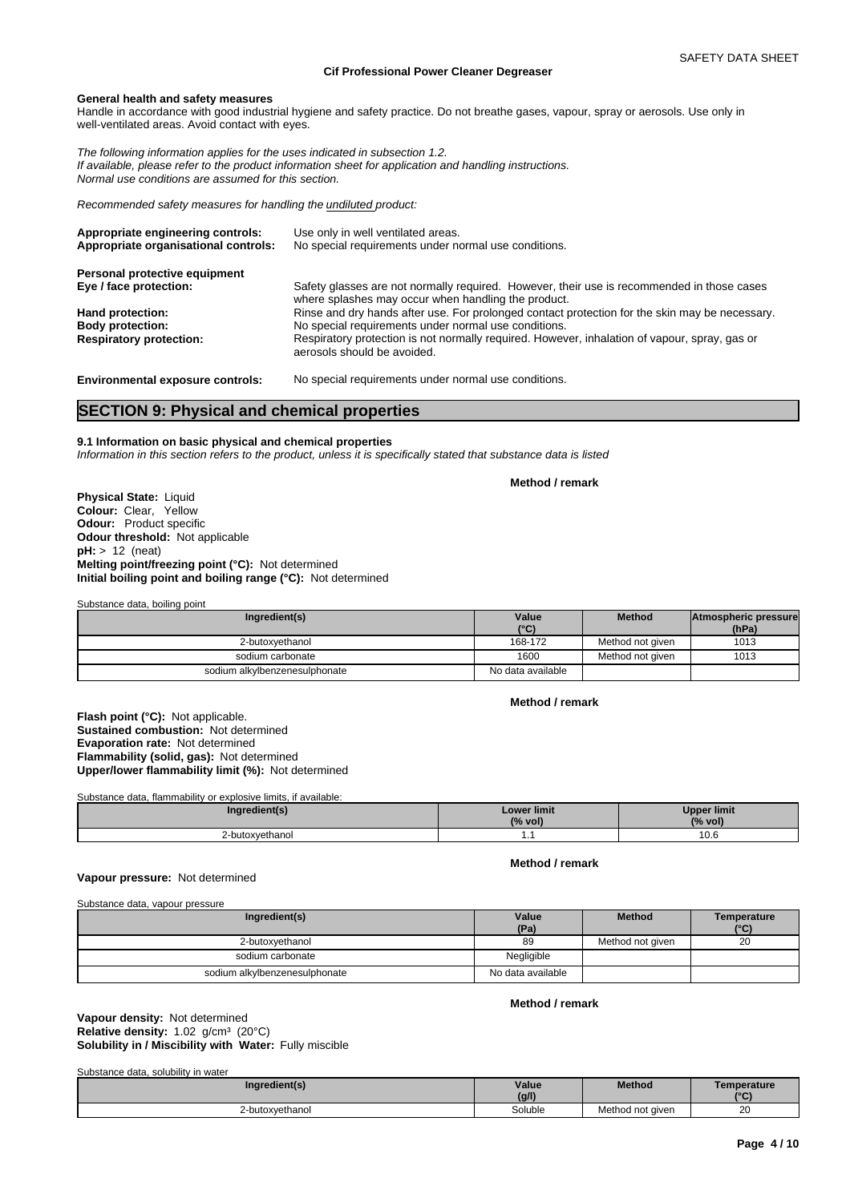#### **General health and safety measures**

Handle in accordance with good industrial hygiene and safety practice. Do not breathe gases, vapour, spray or aerosols. Use only in well-ventilated areas. Avoid contact with eyes.

*The following information applies for the uses indicated in subsection 1.2. If available, please refer to the product information sheet for application and handling instructions. Normal use conditions are assumed for this section.*

*Recommended safety measures for handling the undiluted product:*

| Use only in well ventilated areas.<br>No special requirements under normal use conditions.                                                        |
|---------------------------------------------------------------------------------------------------------------------------------------------------|
|                                                                                                                                                   |
| Safety glasses are not normally required. However, their use is recommended in those cases<br>where splashes may occur when handling the product. |
| Rinse and dry hands after use. For prolonged contact protection for the skin may be necessary.                                                    |
| No special requirements under normal use conditions.                                                                                              |
| Respiratory protection is not normally required. However, inhalation of vapour, spray, gas or<br>aerosols should be avoided.                      |
|                                                                                                                                                   |

**Environmental exposure controls:** No special requirements under normal use conditions.

### **SECTION 9: Physical and chemical properties**

### **9.1 Information on basic physical and chemical properties**

*Information in this section refers to the product, unless it is specifically stated that substance data is listed*

**Method / remark**

**Physical State:** Liquid **Colour:** Clear, Yellow **Odour:** Product specific **Odour threshold:** Not applicable **pH:** > 12 (neat) **Melting point/freezing point (°C):** Not determined **Initial boiling point and boiling range (°C):** Not determined

Substance data, boiling point

| Ingredient(s)                 | Value<br>(°C)     | <b>Method</b>    | Atmospheric pressure<br>(hPa) |
|-------------------------------|-------------------|------------------|-------------------------------|
| 2-butoxvethanol               | 168-172           | Method not given | 1013                          |
| sodium carbonate              | 1600              | Method not given | 1013                          |
| sodium alkylbenzenesulphonate | No data available |                  |                               |

**Method / remark**

**Flash point (°C):** Not applicable. **Sustained combustion:** Not determined **Evaporation rate:** Not determined **Flammability (solid, gas):** Not determined **Upper/lower flammability limit (%):** Not determined

Substance data, flammability or explosive limits, if available:

| Ingredient(s)   | <b>Lower limit</b><br>(% vol) | <b>Upper limit</b><br>(% vol) |
|-----------------|-------------------------------|-------------------------------|
| 2-butoxyethanol | . .                           | 10.6                          |

#### **Vapour pressure:** Not determined

**Method / remark**

#### Substance data, vapour pressure

| Ingredient(s)                 | Value<br>(Pa)     | <b>Method</b>    | Temperature<br>(°C) |
|-------------------------------|-------------------|------------------|---------------------|
| 2-butoxyethanol               | 89                | Method not given | 20                  |
| sodium carbonate              | Negligible        |                  |                     |
| sodium alkylbenzenesulphonate | No data available |                  |                     |

#### **Method / remark**

#### **Solubility in / Miscibility with Water:** Fully miscible **Vapour density:** Not determined Relative density: 1.02 g/cm<sup>3</sup> (20°C)

Substance data, solubility in water

| Ingredient(s)   | Value<br>(g/l) | <b>Method</b>    | Temperature<br>10 <sup>o</sup> |
|-----------------|----------------|------------------|--------------------------------|
| 2-butoxvethanol | Soluble        | Method not aiven | 20<br>$\sim$                   |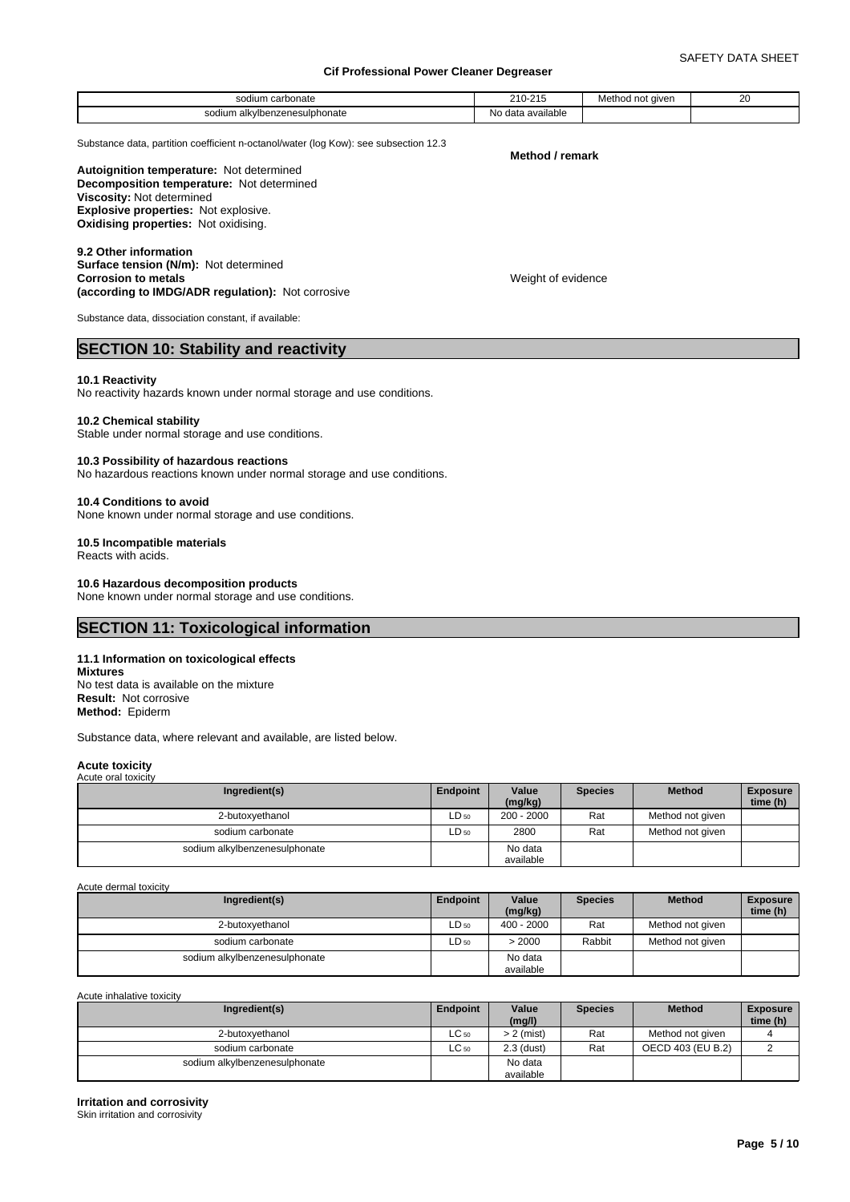| SO(2)<br>odium carbonate                | . 0.11<br>∍ אר<br>$-1V^-$<br>.               | Method not given | 20 |
|-----------------------------------------|----------------------------------------------|------------------|----|
| ___<br>sodium<br>alkvlbenzenesulphonate | .<br>ı available<br>NC<br>$A^{\sim}$<br>uald |                  |    |

Substance data, partition coefficient n-octanol/water (log Kow): see subsection 12.3

#### **Method / remark**

Weight of evidence

**Decomposition temperature:** Not determined **Autoignition temperature:** Not determined **Viscosity:** Not determined **Explosive properties:** Not explosive. **Oxidising properties:** Not oxidising.

**9.2 Other information Surface tension (N/m):** Not determined **Corrosion to metals (according to IMDG/ADR regulation):** Not corrosive

Substance data, dissociation constant, if available:

### **SECTION 10: Stability and reactivity**

#### **10.1 Reactivity**

No reactivity hazards known under normal storage and use conditions.

#### **10.2 Chemical stability**

Stable under normal storage and use conditions.

#### **10.3 Possibility of hazardous reactions**

No hazardous reactions known under normal storage and use conditions.

#### **10.4 Conditions to avoid**

None known under normal storage and use conditions.

#### **10.5 Incompatible materials**

Reacts with acids.

### **10.6 Hazardous decomposition products**

None known under normal storage and use conditions.

### **SECTION 11: Toxicological information**

### **11.1 Information on toxicological effects**

**Mixtures** No test data is available on the mixture **Result:** Not corrosive **Method:** Epiderm

Substance data, where relevant and available, are listed below.

#### **Acute toxicity**

| Acute oral toxicity           |           |                  |                |                  |                             |
|-------------------------------|-----------|------------------|----------------|------------------|-----------------------------|
| Ingredient(s)                 | Endpoint  | Value<br>(mg/kg) | <b>Species</b> | <b>Method</b>    | <b>Exposure</b><br>time (h) |
| 2-butoxyethanol               | $LD_{50}$ | $200 - 2000$     | Rat            | Method not given |                             |
| sodium carbonate              | $LD_{50}$ | 2800             | Rat            | Method not given |                             |
| sodium alkylbenzenesulphonate |           | No data          |                |                  |                             |
|                               |           | available        |                |                  |                             |

Acute dermal toxicity

| Ingredient(s)                 | Endpoint  | Value<br>(mg/kg)     | <b>Species</b> | <b>Method</b>    | <b>Exposure</b><br>time (h) |  |
|-------------------------------|-----------|----------------------|----------------|------------------|-----------------------------|--|
| 2-butoxvethanol               | ∟D 50     | $400 - 2000$         | Rat            | Method not given |                             |  |
| sodium carbonate              | $LD_{50}$ | > 2000               | Rabbit         | Method not given |                             |  |
| sodium alkylbenzenesulphonate |           | No data<br>available |                |                  |                             |  |

Acute inhalative toxicity

| Ingredient(s)                 | Endpoint  | Value<br>(mg/l)      | <b>Species</b> | <b>Method</b>     | <b>Exposure</b><br>time (h) |
|-------------------------------|-----------|----------------------|----------------|-------------------|-----------------------------|
| 2-butoxvethanol               | $LC_{50}$ | $> 2$ (mist)         | Rat            | Method not given  |                             |
| sodium carbonate              | $LC_{50}$ | $2.3$ (dust)         | Rat            | OECD 403 (EU B.2) |                             |
| sodium alkylbenzenesulphonate |           | No data<br>available |                |                   |                             |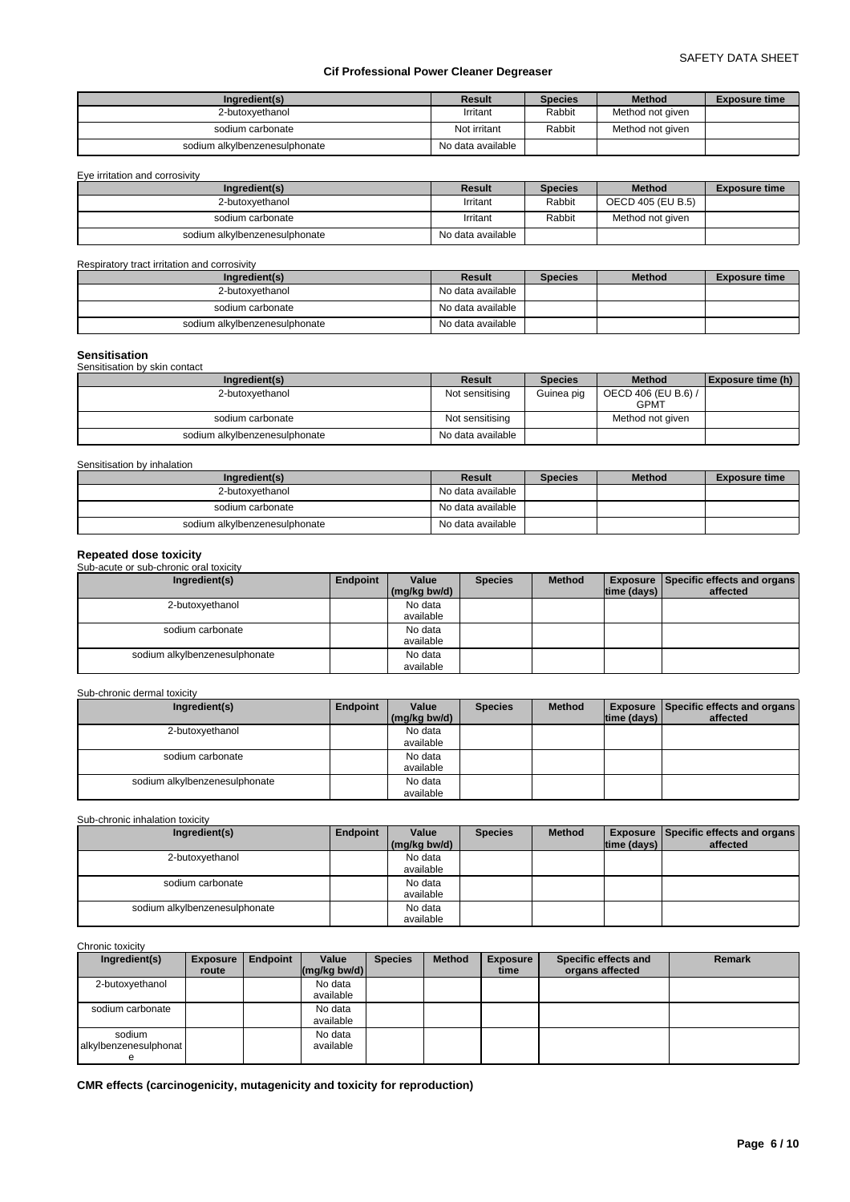| Ingredient(s)                 | Result            | <b>Species</b> | <b>Method</b>    | <b>Exposure time</b> |
|-------------------------------|-------------------|----------------|------------------|----------------------|
| 2-butoxvethanol               | Irritant          | Rabbit         | Method not given |                      |
| sodium carbonate              | Not irritant      | Rabbit         | Method not given |                      |
| sodium alkylbenzenesulphonate | No data available |                |                  |                      |

| Eve irritation and corrosivity |                   |                |                   |                      |
|--------------------------------|-------------------|----------------|-------------------|----------------------|
| Ingredient(s)                  | Result            | <b>Species</b> | <b>Method</b>     | <b>Exposure time</b> |
| 2-butoxyethanol                | Irritant          | Rabbit         | OECD 405 (EU B.5) |                      |
| sodium carbonate               | Irritant          | Rabbit         | Method not given  |                      |
| sodium alkylbenzenesulphonate  | No data available |                |                   |                      |

#### Respiratory tract irritation and corrosivity

| Ingredient(s)                 | Result            | <b>Species</b> | <b>Method</b> | <b>Exposure time</b> |
|-------------------------------|-------------------|----------------|---------------|----------------------|
| 2-butoxvethanol               | No data available |                |               |                      |
| sodium carbonate              | No data available |                |               |                      |
| sodium alkylbenzenesulphonate | No data available |                |               |                      |

#### **Sensitisation**

| --------------                |                   |                |                                    |                   |
|-------------------------------|-------------------|----------------|------------------------------------|-------------------|
| Sensitisation by skin contact |                   |                |                                    |                   |
| Ingredient(s)                 | Result            | <b>Species</b> | <b>Method</b>                      | Exposure time (h) |
| 2-butoxyethanol               | Not sensitising   | Guinea pig     | OECD 406 (EU B.6) /<br><b>GPMT</b> |                   |
| sodium carbonate              | Not sensitising   |                | Method not given                   |                   |
| sodium alkylbenzenesulphonate | No data available |                |                                    |                   |

#### Sensitisation by inhalation

| Ingredient(s)                 | <b>Result</b>     | <b>Species</b> | <b>Method</b> | <b>Exposure time</b> |
|-------------------------------|-------------------|----------------|---------------|----------------------|
| 2-butoxyethanol               | No data available |                |               |                      |
| sodium carbonate              | No data available |                |               |                      |
| sodium alkylbenzenesulphonate | No data available |                |               |                      |

#### **Repeated dose toxicity** Sub-acute or sub-chronic oral toxicity **Ingredient(s) Endpoint Value** Species **(mg/kg bw/d) Species Method Exposure Specific effects and organs time (days) affected**  2-butoxyethanol No data available sodium carbonate No data available sodium alkylbenzenesulphonate No data available

### Sub-chronic dermal toxicity

| Ingredient(s)                 | Endpoint | Value        | <b>Species</b> | <b>Method</b> |             | <b>Exposure   Specific effects and organs  </b> |
|-------------------------------|----------|--------------|----------------|---------------|-------------|-------------------------------------------------|
|                               |          | (mg/kg bw/d) |                |               | time (days) | affected                                        |
| 2-butoxyethanol               |          | No data      |                |               |             |                                                 |
|                               |          | available    |                |               |             |                                                 |
| sodium carbonate              |          | No data      |                |               |             |                                                 |
|                               |          | available    |                |               |             |                                                 |
| sodium alkylbenzenesulphonate |          | No data      |                |               |             |                                                 |
|                               |          | available    |                |               |             |                                                 |

### Sub-chronic inhalation toxicity

| Ingredient(s)                 | Endpoint | Value        | <b>Species</b> | <b>Method</b> |             | <b>Exposure Specific effects and organs</b> |
|-------------------------------|----------|--------------|----------------|---------------|-------------|---------------------------------------------|
|                               |          | (mg/kg bw/d) |                |               | time (days) | affected                                    |
| 2-butoxyethanol               |          | No data      |                |               |             |                                             |
|                               |          | available    |                |               |             |                                             |
| sodium carbonate              |          | No data      |                |               |             |                                             |
|                               |          | available    |                |               |             |                                             |
| sodium alkylbenzenesulphonate |          | No data      |                |               |             |                                             |
|                               |          | available    |                |               |             |                                             |

### Chronic toxicity

| Ingredient(s)         | <b>Exposure</b><br>route | Endpoint | Value<br>$\left \frac{\text{mg}}{\text{kg}}\right $ (mg/kg bw/d) | <b>Species</b> | <b>Method</b> | <b>Exposure</b><br>time | Specific effects and<br>organs affected | Remark |
|-----------------------|--------------------------|----------|------------------------------------------------------------------|----------------|---------------|-------------------------|-----------------------------------------|--------|
|                       |                          |          |                                                                  |                |               |                         |                                         |        |
| 2-butoxvethanol       |                          |          | No data                                                          |                |               |                         |                                         |        |
|                       |                          |          | available                                                        |                |               |                         |                                         |        |
| sodium carbonate      |                          |          | No data                                                          |                |               |                         |                                         |        |
|                       |                          |          | available                                                        |                |               |                         |                                         |        |
| sodium                |                          |          | No data                                                          |                |               |                         |                                         |        |
| alkylbenzenesulphonat |                          |          | available                                                        |                |               |                         |                                         |        |
| е                     |                          |          |                                                                  |                |               |                         |                                         |        |

**CMR effects (carcinogenicity, mutagenicity and toxicity for reproduction)**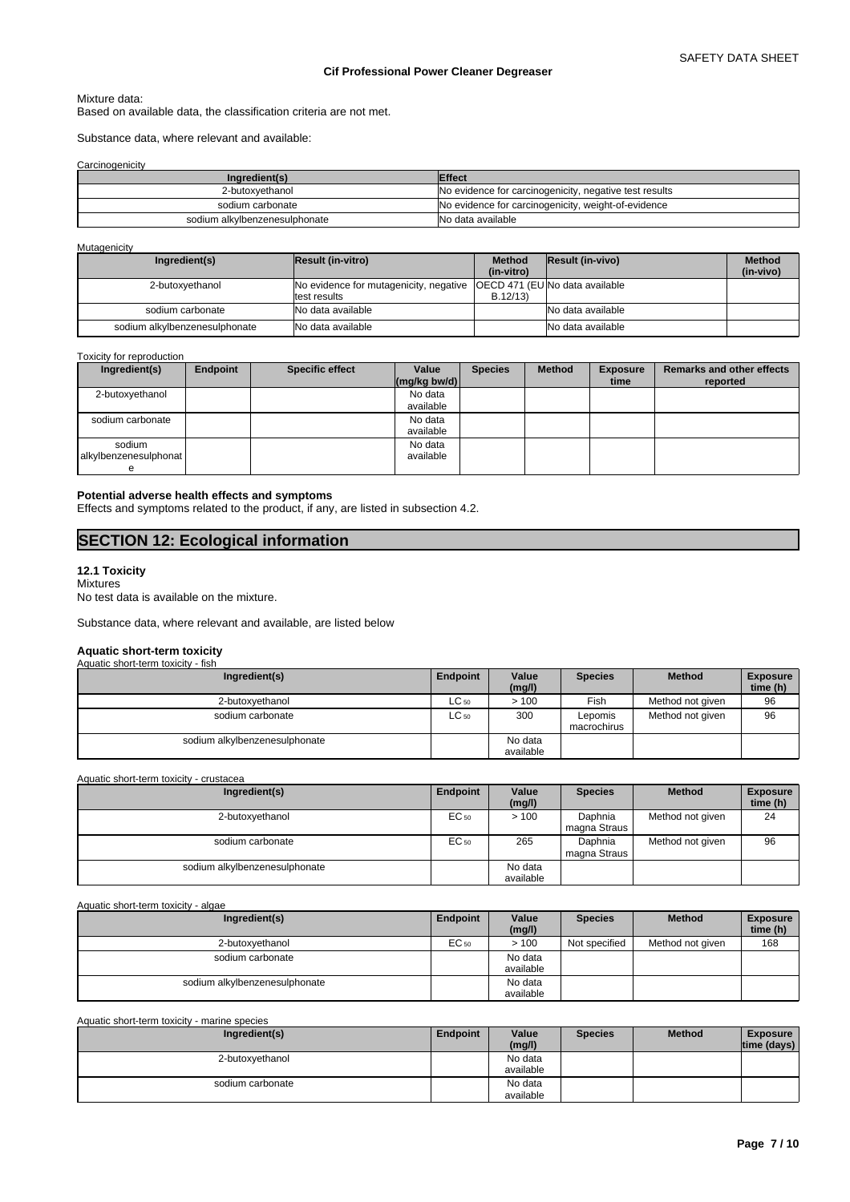#### Mixture data:

Based on available data, the classification criteria are not met.

Substance data, where relevant and available:

**Carcinogenicity** 

| Ingredient(s)                 | <b>Effect</b>                                          |
|-------------------------------|--------------------------------------------------------|
| 2-butoxyethanol               | No evidence for carcinogenicity, negative test results |
| sodium carbonate              | No evidence for carcinogenicity, weight-of-evidence    |
| sodium alkylbenzenesulphonate | No data available                                      |

#### **Mutagenicity**

| Ingredient(s)                 | <b>Result (in-vitro)</b>                                                                | <b>Method</b> | Result (in-vivo)  | <b>Method</b> |
|-------------------------------|-----------------------------------------------------------------------------------------|---------------|-------------------|---------------|
|                               |                                                                                         | (in-vitro)    |                   | (in-vivo)     |
| 2-butoxvethanol               | No evidence for mutagenicity, negative   OECD 471 (EU No data available<br>test results | B.12/13       |                   |               |
| sodium carbonate              | No data available                                                                       |               | No data available |               |
| sodium alkylbenzenesulphonate | No data available                                                                       |               | No data available |               |

#### Toxicity for reproduction

| Ingredient(s)                   | Endpoint | <b>Specific effect</b> | Value<br>$\left \frac{\text{mg}}{\text{kg}}\text{bw/d}\right $ | <b>Species</b> | <b>Method</b> | <b>Exposure</b><br>time | <b>Remarks and other effects</b><br>reported |
|---------------------------------|----------|------------------------|----------------------------------------------------------------|----------------|---------------|-------------------------|----------------------------------------------|
| 2-butoxyethanol                 |          |                        | No data<br>available                                           |                |               |                         |                                              |
| sodium carbonate                |          |                        | No data<br>available                                           |                |               |                         |                                              |
| sodium<br>alkylbenzenesulphonat |          |                        | No data<br>available                                           |                |               |                         |                                              |

#### **Potential adverse health effects and symptoms**

Effects and symptoms related to the product, if any, are listed in subsection 4.2.

# **SECTION 12: Ecological information**

#### **12.1 Toxicity**

Mixtures No test data is available on the mixture.

Substance data, where relevant and available, are listed below

### **Aquatic short-term toxicity**

| Aquatic short-term toxicity - fish |           |                      |                        |                  |                             |
|------------------------------------|-----------|----------------------|------------------------|------------------|-----------------------------|
| Ingredient(s)                      | Endpoint  | Value<br>(mg/l)      | <b>Species</b>         | <b>Method</b>    | <b>Exposure</b><br>time (h) |
| 2-butoxyethanol                    | $LC_{50}$ | >100                 | Fish                   | Method not given | 96                          |
| sodium carbonate                   | $LC_{50}$ | 300                  | Lepomis<br>macrochirus | Method not given | 96                          |
| sodium alkylbenzenesulphonate      |           | No data<br>available |                        |                  |                             |

Aquatic short-term toxicity - crustacea

| Ingredient(s)                 | Endpoint         | Value<br>(mg/l)      | <b>Species</b>          | <b>Method</b>    | <b>Exposure</b><br>time (h) |
|-------------------------------|------------------|----------------------|-------------------------|------------------|-----------------------------|
| 2-butoxyethanol               | EC <sub>50</sub> | >100                 | Daphnia<br>magna Straus | Method not given | 24                          |
| sodium carbonate              | EC <sub>50</sub> | 265                  | Daphnia<br>magna Straus | Method not given | 96                          |
| sodium alkylbenzenesulphonate |                  | No data<br>available |                         |                  |                             |

Aquatic short-term toxicity - algae

| Ingredient(s)                 | <b>Endpoint</b>  | Value     | <b>Species</b> | <b>Method</b>    | <b>Exposure</b> |
|-------------------------------|------------------|-----------|----------------|------------------|-----------------|
|                               |                  | (mg/l)    |                |                  | time (h)        |
| 2-butoxvethanol               | EC <sub>50</sub> | >100      | Not specified  | Method not given | 168             |
| sodium carbonate              |                  | No data   |                |                  |                 |
|                               |                  | available |                |                  |                 |
| sodium alkylbenzenesulphonate |                  | No data   |                |                  |                 |
|                               |                  | available |                |                  |                 |

Aquatic short-term toxicity - marine species

| Ingredient(s)    | Endpoint | Value     | <b>Species</b> | <b>Method</b> | <b>Exposure</b> |
|------------------|----------|-----------|----------------|---------------|-----------------|
|                  |          | (mg/l)    |                |               | time (days) $ $ |
| 2-butoxyethanol  |          | No data   |                |               |                 |
|                  |          | available |                |               |                 |
| sodium carbonate |          | No data   |                |               |                 |
|                  |          | available |                |               |                 |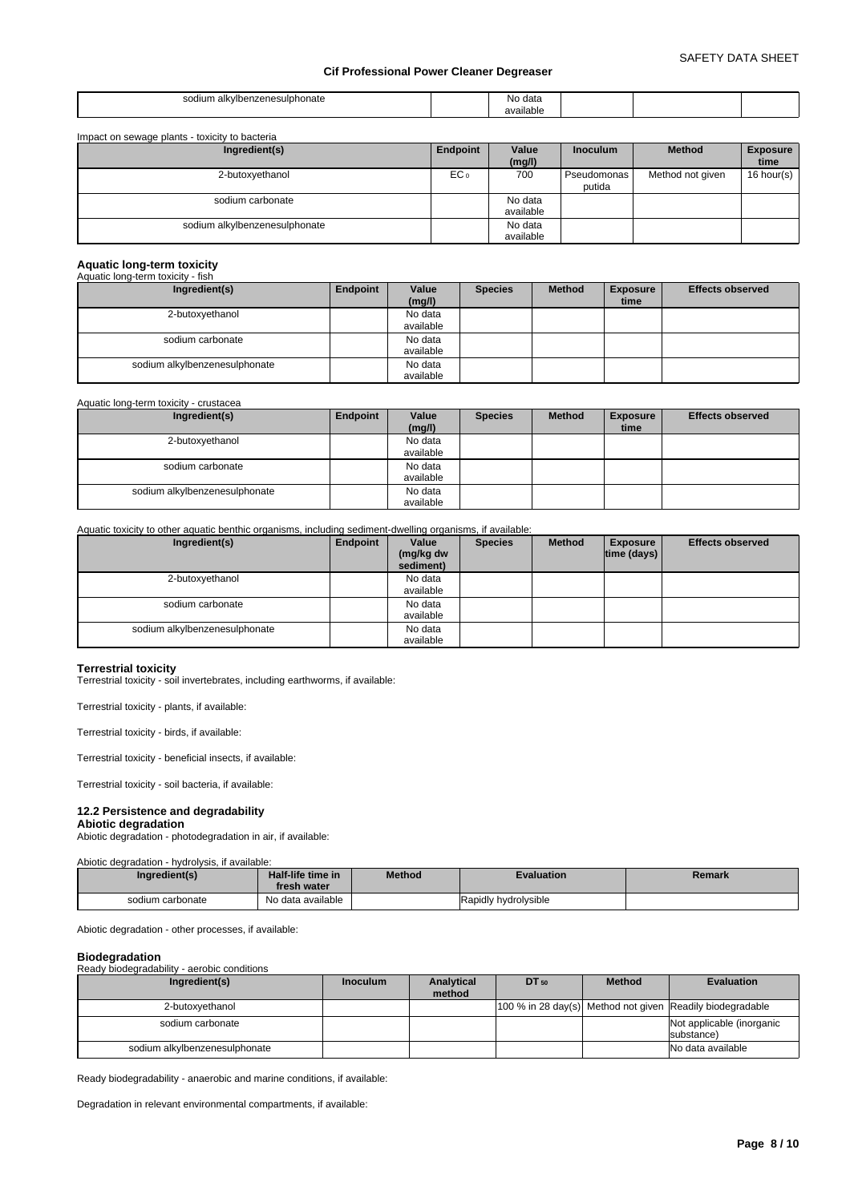| $\sim$<br>u<br>۱۱۱۳ ان<br>unate<br>.<br>.<br>. | -NG | udla<br>. |  |
|------------------------------------------------|-----|-----------|--|
|                                                |     |           |  |

| Impact on sewage plants - toxicity to bacteria |                 |                      |                       |                  |                         |
|------------------------------------------------|-----------------|----------------------|-----------------------|------------------|-------------------------|
| Ingredient(s)                                  | Endpoint        | Value<br>(mg/l)      | <b>Inoculum</b>       | <b>Method</b>    | <b>Exposure</b><br>time |
| 2-butoxyethanol                                | EC <sub>o</sub> | 700                  | Pseudomonas<br>putida | Method not given | 16 hour(s)              |
| sodium carbonate                               |                 | No data<br>available |                       |                  |                         |
| sodium alkylbenzenesulphonate                  |                 | No data<br>available |                       |                  |                         |

# **Aquatic long-term toxicity** Aquatic long-term toxicity - fish

| Ingredient(s)                 | Endpoint | Value<br>(mg/l) | <b>Species</b> | <b>Method</b> | <b>Exposure</b><br>time | <b>Effects observed</b> |
|-------------------------------|----------|-----------------|----------------|---------------|-------------------------|-------------------------|
| 2-butoxyethanol               |          | No data         |                |               |                         |                         |
|                               |          | available       |                |               |                         |                         |
| sodium carbonate              |          | No data         |                |               |                         |                         |
|                               |          | available       |                |               |                         |                         |
| sodium alkylbenzenesulphonate |          | No data         |                |               |                         |                         |
|                               |          | available       |                |               |                         |                         |

#### Aquatic long-term toxicity - crustacea

| Ingredient(s)                 | Endpoint | Value     | <b>Species</b> | <b>Method</b> | <b>Exposure</b> | <b>Effects observed</b> |
|-------------------------------|----------|-----------|----------------|---------------|-----------------|-------------------------|
|                               |          | (mg/l)    |                |               | time            |                         |
| 2-butoxyethanol               |          | No data   |                |               |                 |                         |
|                               |          | available |                |               |                 |                         |
| sodium carbonate              |          | No data   |                |               |                 |                         |
|                               |          | available |                |               |                 |                         |
| sodium alkylbenzenesulphonate |          | No data   |                |               |                 |                         |
|                               |          | available |                |               |                 |                         |

### Aquatic toxicity to other aquatic benthic organisms, including sediment-dwelling organisms, if available:

| Ingredient(s)                 | Endpoint | Value<br>(mg/kg dw<br>sediment) | <b>Species</b> | <b>Method</b> | <b>Exposure</b><br> time (days) | <b>Effects observed</b> |
|-------------------------------|----------|---------------------------------|----------------|---------------|---------------------------------|-------------------------|
| 2-butoxyethanol               |          | No data                         |                |               |                                 |                         |
|                               |          | available                       |                |               |                                 |                         |
| sodium carbonate              |          | No data                         |                |               |                                 |                         |
|                               |          | available                       |                |               |                                 |                         |
| sodium alkylbenzenesulphonate |          | No data                         |                |               |                                 |                         |
|                               |          | available                       |                |               |                                 |                         |

**Terrestrial toxicity** Terrestrial toxicity - soil invertebrates, including earthworms, if available:

Terrestrial toxicity - plants, if available:

Terrestrial toxicity - birds, if available:

Terrestrial toxicity - beneficial insects, if available:

Terrestrial toxicity - soil bacteria, if available:

#### **12.2 Persistence and degradability**

**Abiotic degradation** Abiotic degradation - photodegradation in air, if available:

#### Abiotic degradation - hydrolysis, if available:

| Ingredient(s)    | Half-life time in<br>fresh water | <b>Method</b> | <b>Evaluation</b>    | Remark |
|------------------|----------------------------------|---------------|----------------------|--------|
| sodium carbonate | No data available                |               | Rapidly hydrolysible |        |

Abiotic degradation - other processes, if available:

#### **Biodegradation**

Ready biodegradability - aerobic conditions

| Ingredient(s)                 | <b>Inoculum</b> | Analytical<br>method | $DT_{50}$ | <b>Method</b> | <b>Evaluation</b>                                         |
|-------------------------------|-----------------|----------------------|-----------|---------------|-----------------------------------------------------------|
| 2-butoxvethanol               |                 |                      |           |               | 100 % in 28 day(s) Method not given Readily biodegradable |
| sodium carbonate              |                 |                      |           |               | Not applicable (inorganic<br>substance)                   |
| sodium alkylbenzenesulphonate |                 |                      |           |               | No data available                                         |

Ready biodegradability - anaerobic and marine conditions, if available:

Degradation in relevant environmental compartments, if available: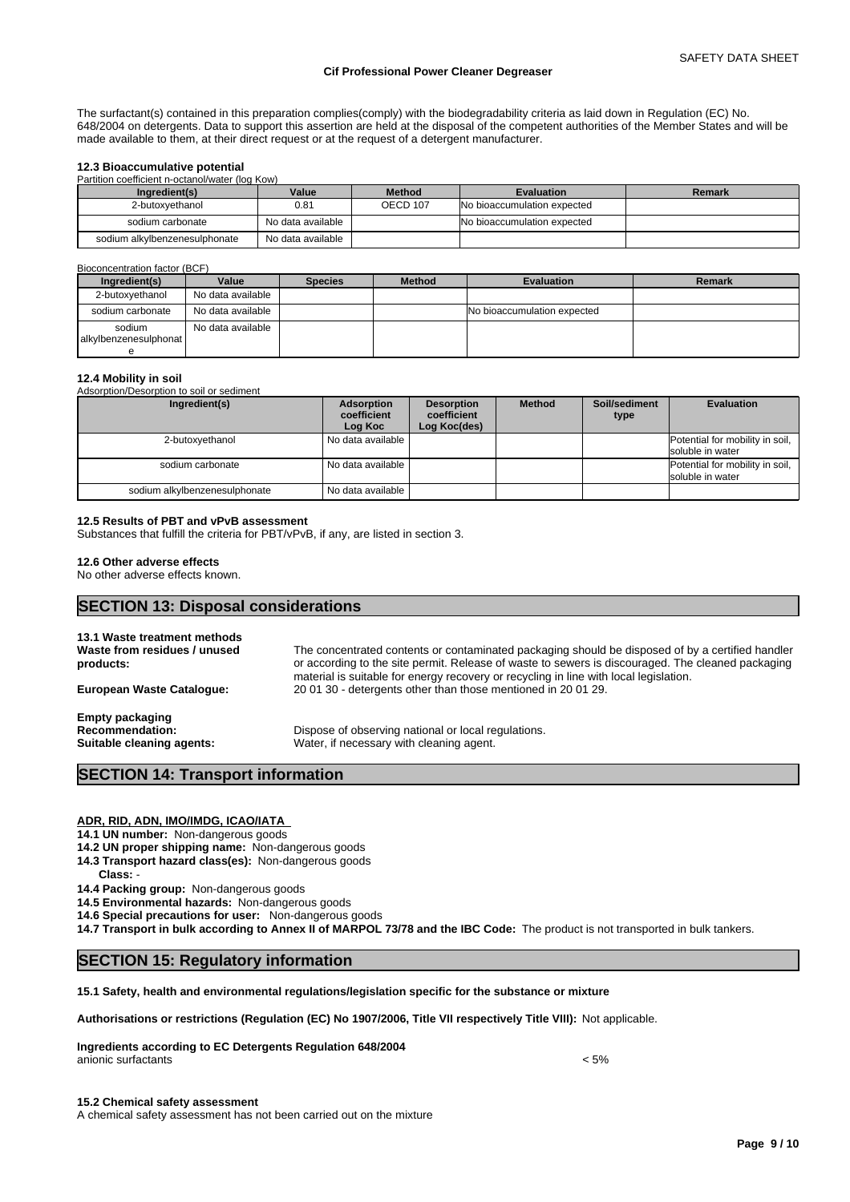The surfactant(s) contained in this preparation complies(comply) with the biodegradability criteria as laid down in Regulation (EC) No. 648/2004 on detergents. Data to support this assertion are held at the disposal of the competent authorities of the Member States and will be made available to them, at their direct request or at the request of a detergent manufacturer.

#### **12.3 Bioaccumulative potential**

Partition coefficient n-octanol/water (log Kow)

| Ingredient(s)                 | Value             | <b>Method</b>   | <b>Evaluation</b>           | Remark |
|-------------------------------|-------------------|-----------------|-----------------------------|--------|
| 2-butoxvethanol               | 0.81              | <b>OECD 107</b> | No bioaccumulation expected |        |
| sodium carbonate              | No data available |                 | No bioaccumulation expected |        |
| sodium alkylbenzenesulphonate | No data available |                 |                             |        |

#### Bioconcentration factor (BCF)

| Ingredient(s)                   | Value             | <b>Species</b> | <b>Method</b> | <b>Evaluation</b>           | Remark |
|---------------------------------|-------------------|----------------|---------------|-----------------------------|--------|
| 2-butoxvethanol                 | No data available |                |               |                             |        |
| sodium carbonate                | No data available |                |               | No bioaccumulation expected |        |
| sodium<br>alkylbenzenesulphonat | No data available |                |               |                             |        |

#### **12.4 Mobility in soil**

Adsorption/Desorption to soil or sediment **Ingredient(s) Adsorption coefficient Log Koc Desorption coefficient Log Koc(des) Method Soil/sediment type Evaluation**  2-butoxyethanol No data available **Potential for mobility in soil**, **Potential for mobility in soil**, soluble in water sodium carbonate No data available Potential for mobility in soil, soluble in water sodium alkylbenzenesulphonate No data available

#### **12.5 Results of PBT and vPvB assessment**

Substances that fulfill the criteria for PBT/vPvB, if any, are listed in section 3.

#### **12.6 Other adverse effects**

No other adverse effects known.

### **SECTION 13: Disposal considerations**

| 13.1 Waste treatment methods<br>Waste from residues / unused<br>products:     | The concentrated contents or contaminated packaging should be disposed of by a certified handler<br>or according to the site permit. Release of waste to sewers is discouraged. The cleaned packaging<br>material is suitable for energy recovery or recycling in line with local legislation. |
|-------------------------------------------------------------------------------|------------------------------------------------------------------------------------------------------------------------------------------------------------------------------------------------------------------------------------------------------------------------------------------------|
| <b>European Waste Catalogue:</b>                                              | 20 01 30 - detergents other than those mentioned in 20 01 29.                                                                                                                                                                                                                                  |
| <b>Empty packaging</b><br><b>Recommendation:</b><br>Suitable cleaning agents: | Dispose of observing national or local regulations.<br>Water, if necessary with cleaning agent.                                                                                                                                                                                                |

## **SECTION 14: Transport information**

#### **ADR, RID, ADN, IMO/IMDG, ICAO/IATA**

**14.1 UN number:** Non-dangerous goods

- **14.2 UN proper shipping name:** Non-dangerous goods
- **14.3 Transport hazard class(es):** Non-dangerous goods
- **Class:** -
- **14.4 Packing group:** Non-dangerous goods

**14.5 Environmental hazards:** Non-dangerous goods

**14.6 Special precautions for user:** Non-dangerous goods

**14.7 Transport in bulk according to Annex II of MARPOL 73/78 and the IBC Code:** The product is not transported in bulk tankers.

### **SECTION 15: Regulatory information**

### **15.1 Safety, health and environmental regulations/legislation specific for the substance or mixture**

**Authorisations or restrictions (Regulation (EC) No 1907/2006, Title VII respectively Title VIII):** Not applicable.

**Ingredients according to EC Detergents Regulation 648/2004** anionic surfactants  $\langle 5\%$